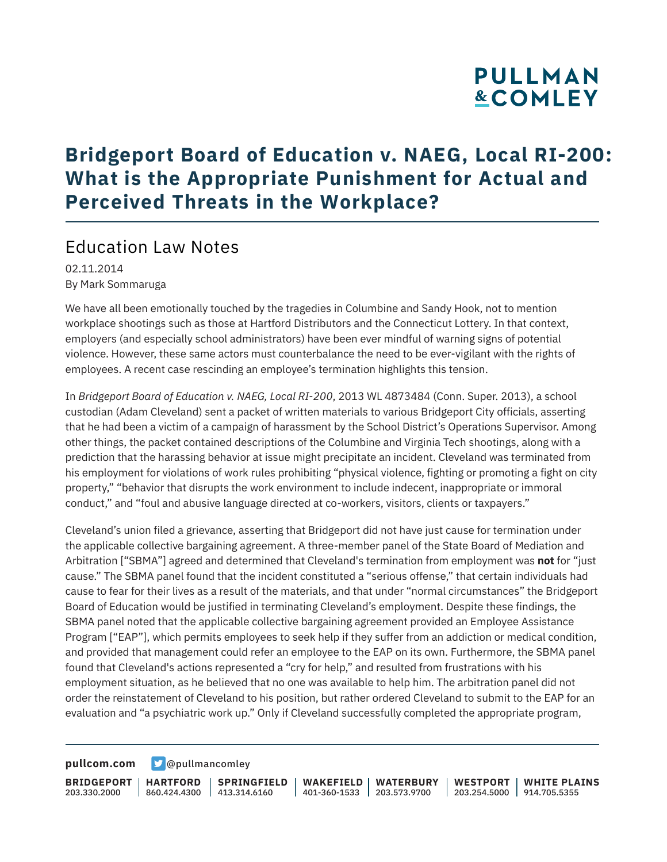# **PULLMAN &COMLEY**

### **Bridgeport Board of Education v. NAEG, Local RI-200: What is the Appropriate Punishment for Actual and Perceived Threats in the Workplace?**

### Education Law Notes

02.11.2014 By Mark Sommaruga

We have all been emotionally touched by the tragedies in Columbine and Sandy Hook, not to mention workplace shootings such as those at Hartford Distributors and the Connecticut Lottery. In that context, employers (and especially school administrators) have been ever mindful of warning signs of potential violence. However, these same actors must counterbalance the need to be ever-vigilant with the rights of employees. A recent case rescinding an employee's termination highlights this tension.

In *Bridgeport Board of Education v. NAEG, Local RI-200*, 2013 WL 4873484 (Conn. Super. 2013), a school custodian (Adam Cleveland) sent a packet of written materials to various Bridgeport City officials, asserting that he had been a victim of a campaign of harassment by the School District's Operations Supervisor. Among other things, the packet contained descriptions of the Columbine and Virginia Tech shootings, along with a prediction that the harassing behavior at issue might precipitate an incident. Cleveland was terminated from his employment for violations of work rules prohibiting "physical violence, fighting or promoting a fight on city property," "behavior that disrupts the work environment to include indecent, inappropriate or immoral conduct," and "foul and abusive language directed at co-workers, visitors, clients or taxpayers."

Cleveland's union filed a grievance, asserting that Bridgeport did not have just cause for termination under the applicable collective bargaining agreement. A three-member panel of the State Board of Mediation and Arbitration ["SBMA"] agreed and determined that Cleveland's termination from employment was **not** for "just cause." The SBMA panel found that the incident constituted a "serious offense," that certain individuals had cause to fear for their lives as a result of the materials, and that under "normal circumstances" the Bridgeport Board of Education would be justified in terminating Cleveland's employment. Despite these findings, the SBMA panel noted that the applicable collective bargaining agreement provided an Employee Assistance Program ["EAP"], which permits employees to seek help if they suffer from an addiction or medical condition, and provided that management could refer an employee to the EAP on its own. Furthermore, the SBMA panel found that Cleveland's actions represented a "cry for help," and resulted from frustrations with his employment situation, as he believed that no one was available to help him. The arbitration panel did not order the reinstatement of Cleveland to his position, but rather ordered Cleveland to submit to the EAP for an evaluation and "a psychiatric work up." Only if Cleveland successfully completed the appropriate program,

**[pullcom.com](https://www.pullcom.com) g** [@pullmancomley](https://twitter.com/PullmanComley)

**BRIDGEPORT** 203.330.2000

**HARTFORD**

860.424.4300 413.314.6160 **SPRINGFIELD** **WAKEFIELD WATERBURY** 401-360-1533 203.573.9700

**WESTPORT WHITE PLAINS** 203.254.5000 914.705.5355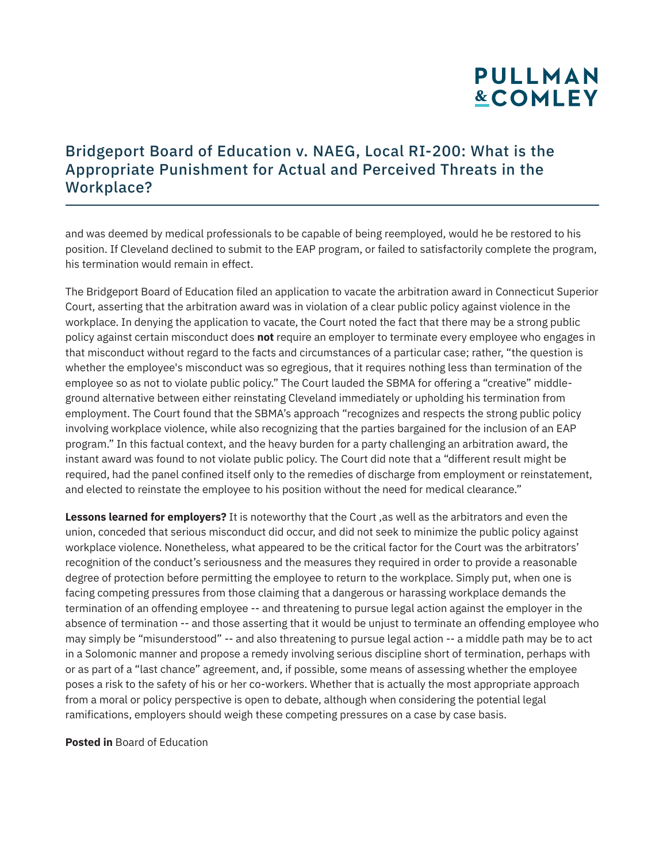# **PULLMAN &COMLEY**

#### Bridgeport Board of Education v. NAEG, Local RI-200: What is the Appropriate Punishment for Actual and Perceived Threats in the Workplace?

and was deemed by medical professionals to be capable of being reemployed, would he be restored to his position. If Cleveland declined to submit to the EAP program, or failed to satisfactorily complete the program, his termination would remain in effect.

The Bridgeport Board of Education filed an application to vacate the arbitration award in Connecticut Superior Court, asserting that the arbitration award was in violation of a clear public policy against violence in the workplace. In denying the application to vacate, the Court noted the fact that there may be a strong public policy against certain misconduct does **not** require an employer to terminate every employee who engages in that misconduct without regard to the facts and circumstances of a particular case; rather, "the question is whether the employee's misconduct was so egregious, that it requires nothing less than termination of the employee so as not to violate public policy." The Court lauded the SBMA for offering a "creative" middleground alternative between either reinstating Cleveland immediately or upholding his termination from employment. The Court found that the SBMA's approach "recognizes and respects the strong public policy involving workplace violence, while also recognizing that the parties bargained for the inclusion of an EAP program." In this factual context, and the heavy burden for a party challenging an arbitration award, the instant award was found to not violate public policy. The Court did note that a "different result might be required, had the panel confined itself only to the remedies of discharge from employment or reinstatement, and elected to reinstate the employee to his position without the need for medical clearance."

**Lessons learned for employers?** It is noteworthy that the Court ,as well as the arbitrators and even the union, conceded that serious misconduct did occur, and did not seek to minimize the public policy against workplace violence. Nonetheless, what appeared to be the critical factor for the Court was the arbitrators' recognition of the conduct's seriousness and the measures they required in order to provide a reasonable degree of protection before permitting the employee to return to the workplace. Simply put, when one is facing competing pressures from those claiming that a dangerous or harassing workplace demands the termination of an offending employee -- and threatening to pursue legal action against the employer in the absence of termination -- and those asserting that it would be unjust to terminate an offending employee who may simply be "misunderstood" -- and also threatening to pursue legal action -- a middle path may be to act in a Solomonic manner and propose a remedy involving serious discipline short of termination, perhaps with or as part of a "last chance" agreement, and, if possible, some means of assessing whether the employee poses a risk to the safety of his or her co-workers. Whether that is actually the most appropriate approach from a moral or policy perspective is open to debate, although when considering the potential legal ramifications, employers should weigh these competing pressures on a case by case basis.

**Posted in** Board of Education